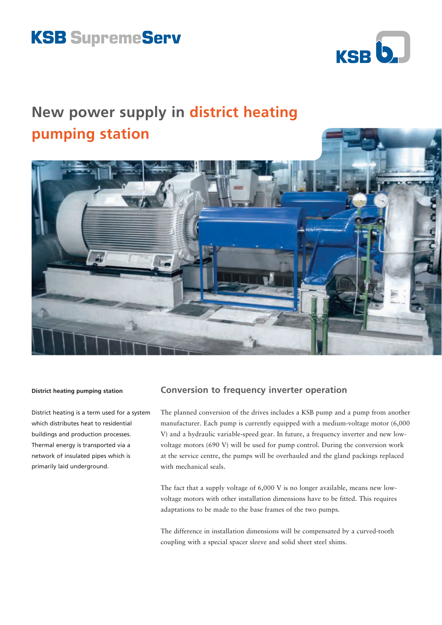# **KSB SupremeServ**



## **New power supply in district heating pumping station**



#### **District heating pumping station**

District heating is a term used for a system which distributes heat to residential buildings and production processes. Thermal energy is transported via a network of insulated pipes which is primarily laid underground.

## **Conversion to frequency inverter operation**

The planned conversion of the drives includes a KSB pump and a pump from another manufacturer. Each pump is currently equipped with a medium-voltage motor (6,000 V) and a hydraulic variable-speed gear. In future, a frequency inverter and new lowvoltage motors (690 V) will be used for pump control. During the conversion work at the service centre, the pumps will be overhauled and the gland packings replaced with mechanical seals.

The fact that a supply voltage of 6,000 V is no longer available, means new lowvoltage motors with other installation dimensions have to be fitted. This requires adaptations to be made to the base frames of the two pumps.

The difference in installation dimensions will be compensated by a curved-tooth coupling with a special spacer sleeve and solid sheet steel shims.